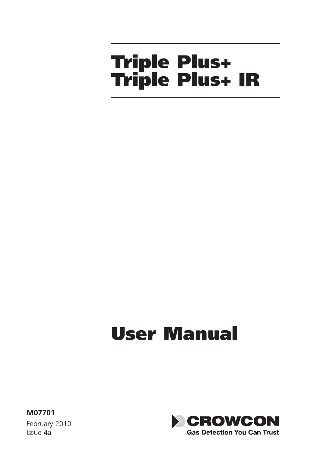# Triple Plus+ Triple Plus+ IR

# User Manual

**M07701** February 2010 Issue 4a

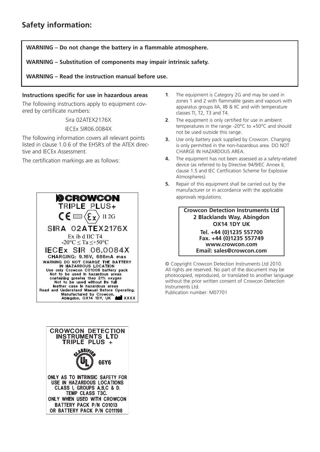**WARNING – Do not change the battery in a flammable atmosphere.**

**WARNING – Substitution of components may impair intrinsic safety.**

**WARNING – Read the instruction manual before use.**

#### **Instructions specific for use in hazardous areas**

The following instructions apply to equipment covered by certificate numbers:

Sira 02ATEX2176X

IECEx SIR06.0084X

The following information covers all relevant points listed in clause 1.0.6 of the EHSR's of the ATEX directive and IECEx Assessment.

The certification markings are as follows:





- **1**. The equipment is Category 2G and may be used in zones 1 and 2 with flammable gases and vapours with apparatus groups IIA, IIB & IIC and with temperature classes Tl, T2, T3 and T4.
- **2**. The equipment is only certified for use in ambient temperatures in the range -20°C to +50°C and should not be used outside this range.
- **3.** Use only battery pack supplied by Crowcon. Charging is only permitted in the non-hazardous area. DO NOT CHARGE IN HAZARDOUS AREA.
- **4.** The equipment has not been assessed as a safety-related device (as referred to by Directive 94/9/EC Annex II, clause 1.5 and IEC Certfication Scheme for Explosive Atmospheres).
- **5.** Repair of this equipment shall be carried out by the manufacturer or in accordance with the applicable approvals regulations.

#### **Crowcon Detection Instruments Ltd 2 Blacklands Way, Abingdon OX14 1DY UK**

#### **Tel. +44 (0)1235 557700 Fax. +44 (0)1235 557749 www.crowcon.com Email: sales@crowcon.com**

© Copyright Crowcon Detection Instruments Ltd 2010. All rights are reserved. No part of the document may be photocopied, reproduced, or translated to another language without the prior written consent of Crowcon Detection Instruments Ltd.

Publication number: M07701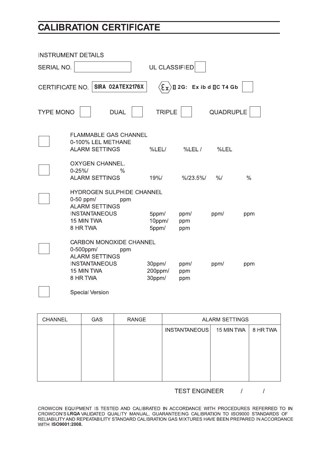### **CALIBRATION CERTIFICATE**

| <b>INSTRUMENT DETAILS</b> |                                                                                                                                   |                                         |                          |               |               |
|---------------------------|-----------------------------------------------------------------------------------------------------------------------------------|-----------------------------------------|--------------------------|---------------|---------------|
| SERIAL NO.                |                                                                                                                                   | UL CLASSIFIED                           |                          |               |               |
| CERTIFICATE NO.           | SIRA 02ATEX2176X                                                                                                                  | $\langle \epsilon_{\textbf{x}} \rangle$ | Il 2G: Ex ib d ILC T4 Gb |               |               |
| <b>TYPE MONO</b>          | <b>DUAL</b>                                                                                                                       | <b>TRIPLE</b>                           |                          | QUADRUPLE     |               |
|                           | <b>FLAMMABLE GAS CHANNEL</b><br>0-100% LEL METHANE<br><b>ALARM SETTINGS</b>                                                       | %LEL/                                   | %LEL /                   | %LEL          |               |
|                           | OXYGEN CHANNEL.<br>$0 - 25%$<br>$\frac{0}{0}$<br><b>ALARM SETTINGS</b>                                                            | 19%/                                    | %123.5%                  | $\frac{9}{6}$ | $\frac{0}{0}$ |
|                           | <b>HYDROGEN SULPHIDE CHANNEL</b><br>$0-50$ ppm/<br>ppm<br><b>ALARM SETTINGS</b><br><b>INSTANTANEOUS</b><br>15 MIN TWA<br>8 HR TWA | 5ppm/<br>10ppm/<br>5ppm/                | ppm/<br>ppm<br>ppm       | ppm/          | ppm           |
|                           | CARBON MONOXIDE CHANNEL<br>0-500ppm/<br>ppm<br><b>ALARM SETTINGS</b><br><b>INSTANTANEOUS</b><br>15 MIN TWA<br>8 HR TWA            | 30ppm/<br>200ppm/<br>30ppm/             | ppm/<br>ppm<br>ppm       | ppm/          | ppm           |
|                           | Special Version                                                                                                                   |                                         |                          |               |               |

| <b>CHANNEL</b> | <b>GAS</b> | <b>RANGE</b> | <b>ALARM SETTINGS</b> |            |          |
|----------------|------------|--------------|-----------------------|------------|----------|
|                |            |              | <b>INSTANTANEOUS</b>  | 15 MIN TWA | 8 HR TWA |
|                |            |              |                       |            |          |
|                |            |              |                       |            |          |
|                |            |              |                       |            |          |
|                |            |              |                       |            |          |
|                |            |              |                       |            |          |

**TEST ENGINEER**  $\mathcal{L}$  $\boldsymbol{I}$ 

CROWCON EQUIPMENT IS TESTED AND CALIBRATED IN ACCORDANCE WITH PROCEDURES REFERRED TO IN CROWCON'S LRQA VALIDATED QUALITY MANUAL, GUARANTEEING CALIBRATION TO ISO9000 STANDARDS OF WITH ISO9001:2008.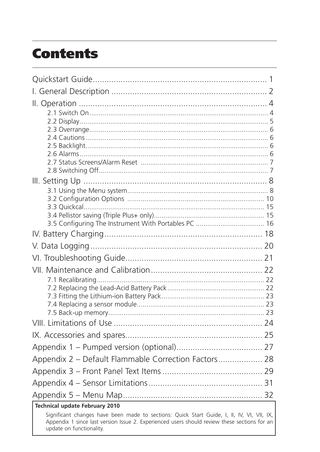## **Contents**

| Appendix 2 - Default Flammable Correction Factors 28                                                                                                                                                                   |  |
|------------------------------------------------------------------------------------------------------------------------------------------------------------------------------------------------------------------------|--|
|                                                                                                                                                                                                                        |  |
|                                                                                                                                                                                                                        |  |
|                                                                                                                                                                                                                        |  |
| Technical update February 2010                                                                                                                                                                                         |  |
| Significant changes have been made to sections: Quick Start Guide, I, II, IV, VI, VII, IX,<br>Appendix 1 since last version Issue 2. Experienced users should review these sections for an<br>update on functionality. |  |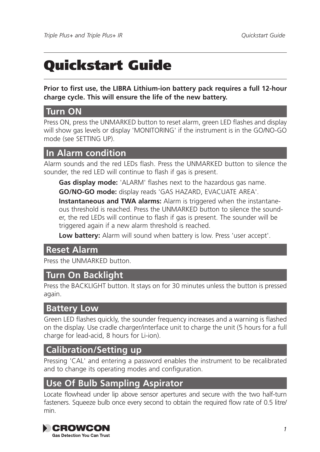## Quickstart Guide

**Prior to first use, the LIBRA Lithium-ion battery pack requires a full 12-hour charge cycle. This will ensure the life of the new battery.**

#### **Turn ON**

Press ON, press the UNMARKED button to reset alarm, green LED flashes and display will show gas levels or display 'MONITORING' if the instrument is in the GO/NO-GO mode (see SETTING UP).

#### **In Alarm condition**

Alarm sounds and the red LEDs flash. Press the UNMARKED button to silence the sounder, the red LED will continue to flash if gas is present.

**Gas display mode:** 'ALARM' flashes next to the hazardous gas name. **GO/NO-GO mode:** display reads 'GAS HAZARD, EVACUATE AREA'.

**Instantaneous and TWA alarms:** Alarm is triggered when the instantaneous threshold is reached. Press the UNMARKED button to silence the sounder, the red LEDs will continue to flash if gas is present. The sounder will be triggered again if a new alarm threshold is reached.

**Low battery:** Alarm will sound when battery is low. Press 'user accept'.

#### **Reset Alarm**

Press the UNMARKED button.

#### **Turn On Backlight**

Press the BACKLIGHT button. It stays on for 30 minutes unless the button is pressed again.

#### **Battery Low**

Green LED flashes quickly, the sounder frequency increases and a warning is flashed on the display. Use cradle charger/interface unit to charge the unit (5 hours for a full charge for lead-acid, 8 hours for Li-ion).

#### **Calibration/Setting up**

Pressing 'CAL' and entering a password enables the instrument to be recalibrated and to change its operating modes and configuration.

#### **Use Of Bulb Sampling Aspirator**

Locate flowhead under lip above sensor apertures and secure with the two half-turn fasteners. Squeeze bulb once every second to obtain the required flow rate of 0.5 litre/ min.

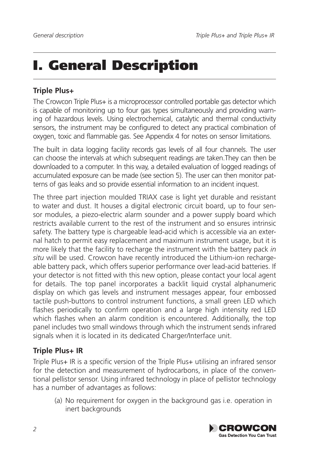## I. General Description

#### **Triple Plus+**

The Crowcon Triple Plus+ is a microprocessor controlled portable gas detector which is capable of monitoring up to four gas types simultaneously and providing warning of hazardous levels. Using electrochemical, catalytic and thermal conductivity sensors, the instrument may be configured to detect any practical combination of oxygen, toxic and flammable gas. See Appendix 4 for notes on sensor limitations.

The built in data logging facility records gas levels of all four channels. The user can choose the intervals at which subsequent readings are taken.They can then be downloaded to a computer. In this way, a detailed evaluation of logged readings of accumulated exposure can be made (see section 5). The user can then monitor patterns of gas leaks and so provide essential information to an incident inquest.

The three part injection moulded TRIAX case is light yet durable and resistant to water and dust. It houses a digital electronic circuit board, up to four sensor modules, a piezo-electric alarm sounder and a power supply board which restricts available current to the rest of the instrument and so ensures intrinsic safety. The battery type is chargeable lead-acid which is accessible via an external hatch to permit easy replacement and maximum instrument usage, but it is more likely that the facility to recharge the instrument with the battery pack *in situ* will be used. Crowcon have recently introduced the Lithium-ion rechargeable battery pack, which offers superior performance over lead-acid batteries. If your detector is not fitted with this new option, please contact your local agent for details. The top panel incorporates a backlit liquid crystal alphanumeric display on which gas levels and instrument messages appear, four embossed tactile push-buttons to control instrument functions, a small green LED which flashes periodically to confirm operation and a large high intensity red LED which flashes when an alarm condition is encountered. Additionally, the top panel includes two small windows through which the instrument sends infrared signals when it is located in its dedicated Charger/Interface unit.

#### **Triple Plus+ IR**

Triple Plus+ IR is a specific version of the Triple Plus+ utilising an infrared sensor for the detection and measurement of hydrocarbons, in place of the conventional pellistor sensor. Using infrared technology in place of pellistor technology has a number of advantages as follows:

(a) No requirement for oxygen in the background gas i.e. operation in inert backgrounds

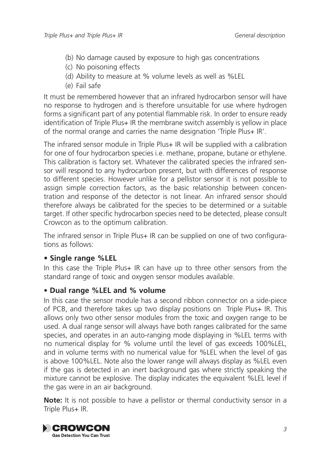- (b) No damage caused by exposure to high gas concentrations
- (c) No poisoning effects
- (d) Ability to measure at % volume levels as well as %LEL
- (e) Fail safe

It must be remembered however that an infrared hydrocarbon sensor will have no response to hydrogen and is therefore unsuitable for use where hydrogen forms a significant part of any potential flammable risk. In order to ensure ready identification of Triple Plus+ IR the membrane switch assembly is yellow in place of the normal orange and carries the name designation 'Triple Plus+ IR'.

The infrared sensor module in Triple Plus+ IR will be supplied with a calibration for one of four hydrocarbon species i.e. methane, propane, butane or ethylene. This calibration is factory set. Whatever the calibrated species the infrared sensor will respond to any hydrocarbon present, but with differences of response to different species. However unlike for a pellistor sensor it is not possible to assign simple correction factors, as the basic relationship between concentration and response of the detector is not linear. An infrared sensor should therefore always be calibrated for the species to be determined or a suitable target. If other specific hydrocarbon species need to be detected, please consult Crowcon as to the optimum calibration.

The infrared sensor in Triple Plus+ IR can be supplied on one of two configurations as follows:

#### **• Single range %LEL**

In this case the Triple Plus+ IR can have up to three other sensors from the standard range of toxic and oxygen sensor modules available.

#### • **Dual range %LEL and % volume**

In this case the sensor module has a second ribbon connector on a side-piece of PCB, and therefore takes up two display positions on Triple Plus+ IR. This allows only two other sensor modules from the toxic and oxygen range to be used. A dual range sensor will always have both ranges calibrated for the same species, and operates in an auto-ranging mode displaying in %LEL terms with no numerical display for % volume until the level of gas exceeds 100%LEL, and in volume terms with no numerical value for %LEL when the level of gas is above 100%LEL. Note also the lower range will always display as %LEL even if the gas is detected in an inert background gas where strictly speaking the mixture cannot be explosive. The display indicates the equivalent %LEL level if the gas were in an air background.

**Note:** It is not possible to have a pellistor or thermal conductivity sensor in a Triple Plus+ IR.

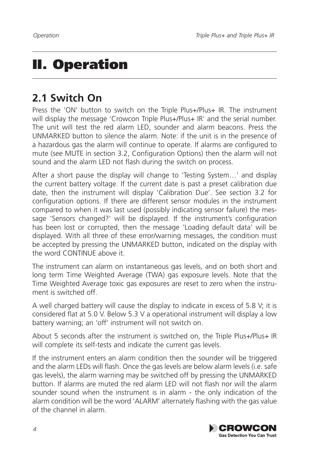## II. Operation

### **2.1 Switch On**

Press the 'ON' button to switch on the Triple Plus+/Plus+ IR. The instrument will display the message 'Crowcon Triple Plus+/Plus+ IR' and the serial number. The unit will test the red alarm LED, sounder and alarm beacons. Press the UNMARKED button to silence the alarm. Note: if the unit is in the presence of a hazardous gas the alarm will continue to operate. If alarms are configured to mute (see MUTE in section 3.2, Configuration Options) then the alarm will not sound and the alarm LED not flash during the switch on process.

After a short pause the display will change to 'Testing System…' and display the current battery voltage. If the current date is past a preset calibration due date, then the instrument will display 'Calibration Due'. See section 3.2 for configuration options. If there are different sensor modules in the instrument compared to when it was last used (possibly indicating sensor failure) the message 'Sensors changed?' will be displayed. If the instrument's configuration has been lost or corrupted, then the message 'Loading default data' will be displayed. With all three of these error/warning messages, the condition must be accepted by pressing the UNMARKED button, indicated on the display with the word CONTINUE above it.

The instrument can alarm on instantaneous gas levels, and on both short and long term Time Weighted Average (TWA) gas exposure levels. Note that the Time Weighted Average toxic gas exposures are reset to zero when the instrument is switched off.

A well charged battery will cause the display to indicate in excess of 5.8 V; it is considered flat at 5.0 V. Below 5.3 V a operational instrument will display a low battery warning; an 'off' instrument will not switch on.

About 5 seconds after the instrument is switched on, the Triple Plus+/Plus+ IR will complete its self-tests and indicate the current gas levels.

If the instrument enters an alarm condition then the sounder will be triggered and the alarm LEDs will flash. Once the gas levels are below alarm levels (i.e. safe gas levels), the alarm warning may be switched off by pressing the UNMARKED button. If alarms are muted the red alarm LED will not flash nor will the alarm sounder sound when the instrument is in alarm - the only indication of the alarm condition will be the word 'ALARM' alternately flashing with the gas value of the channel in alarm.

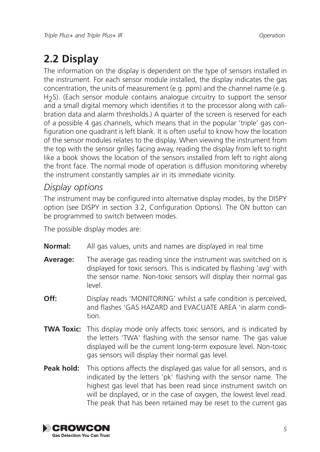### **2.2 Display**

The information on the display is dependent on the type of sensors installed in the instrument. For each sensor module installed, the display indicates the gas concentration, the units of measurement (e.g. ppm) and the channel name (e.g. H<sub>2</sub>S). (Each sensor module contains analogue circuitry to support the sensor and a small digital memory which identifies it to the processor along with calibration data and alarm thresholds.) A quarter of the screen is reserved for each of a possible 4 gas channels, which means that in the popular 'triple' gas configuration one quadrant is left blank. It is often useful to know how the location of the sensor modules relates to the display. When viewing the instrument from the top with the sensor grilles facing away, reading the display from left to right like a book shows the location of the sensors installed from left to right along the front face. The normal mode of operation is diffusion monitoring whereby the instrument constantly samples air in its immediate vicinity.

#### *Display options*

The instrument may be configured into alternative display modes, by the DISPY option (see DISPY in section 3.2, Configuration Options). The ON button can be programmed to switch between modes.

The possible display modes are:

- **Normal:** All gas values, units and names are displayed in real time
- **Average:** The average gas reading since the instrument was switched on is displayed for toxic sensors. This is indicated by flashing 'avg' with the sensor name. Non-toxic sensors will display their normal gas level.
- **Off:** Display reads 'MONITORING' whilst a safe condition is perceived, and flashes 'GAS HAZARD and EVACUATE AREA 'in alarm condition.
- **TWA Toxic:** This display mode only affects toxic sensors, and is indicated by the letters 'TWA' flashing with the sensor name. The gas value displayed will be the current long-term exposure level. Non-toxic gas sensors will display their normal gas level.
- **Peak hold:** This options affects the displayed gas value for all sensors, and is indicated by the letters 'pk' flashing with the sensor name. The highest gas level that has been read since instrument switch on will be displayed, or in the case of oxygen, the lowest level read. The peak that has been retained may be reset to the current gas

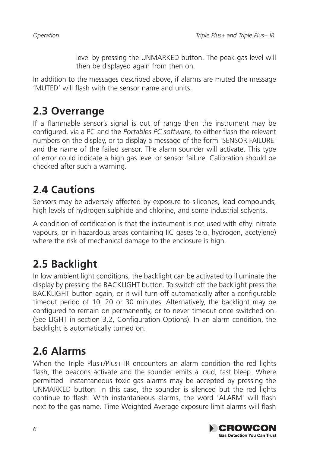level by pressing the UNMARKED button. The peak gas level will then be displayed again from then on.

In addition to the messages described above, if alarms are muted the message 'MUTED' will flash with the sensor name and units.

### **2.3 Overrange**

If a flammable sensor's signal is out of range then the instrument may be configured, via a PC and the *Portables PC software,* to either flash the relevant numbers on the display, or to display a message of the form 'SENSOR FAILURE' and the name of the failed sensor. The alarm sounder will activate. This type of error could indicate a high gas level or sensor failure. Calibration should be checked after such a warning.

## **2.4 Cautions**

Sensors may be adversely affected by exposure to silicones, lead compounds, high levels of hydrogen sulphide and chlorine, and some industrial solvents.

A condition of certification is that the instrument is not used with ethyl nitrate vapours, or in hazardous areas containing IIC gases (e.g. hydrogen, acetylene) where the risk of mechanical damage to the enclosure is high.

## **2.5 Backlight**

In low ambient light conditions, the backlight can be activated to illuminate the display by pressing the BACKLIGHT button. To switch off the backlight press the BACKLIGHT button again, or it will turn off automatically after a configurable timeout period of 10, 20 or 30 minutes. Alternatively, the backlight may be configured to remain on permanently, or to never timeout once switched on. (See LIGHT in section 3.2, Configuration Options). In an alarm condition, the backlight is automatically turned on.

## **2.6 Alarms**

When the Triple Plus+/Plus+ IR encounters an alarm condition the red lights flash, the beacons activate and the sounder emits a loud, fast bleep. Where permitted instantaneous toxic gas alarms may be accepted by pressing the UNMARKED button. In this case, the sounder is silenced but the red lights continue to flash. With instantaneous alarms, the word 'ALARM' will flash next to the gas name. Time Weighted Average exposure limit alarms will flash

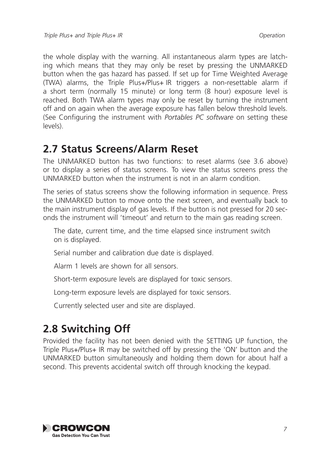the whole display with the warning. All instantaneous alarm types are latching which means that they may only be reset by pressing the UNMARKED button when the gas hazard has passed. If set up for Time Weighted Average (TWA) alarms, the Triple Plus+/Plus+ IR triggers a non-resettable alarm if a short term (normally 15 minute) or long term (8 hour) exposure level is reached. Both TWA alarm types may only be reset by turning the instrument off and on again when the average exposure has fallen below threshold levels. (See Configuring the instrument with *Portables PC software* on setting these levels).

### **2.7 Status Screens/Alarm Reset**

The UNMARKED button has two functions: to reset alarms (see 3.6 above) or to display a series of status screens. To view the status screens press the UNMARKED button when the instrument is not in an alarm condition.

The series of status screens show the following information in sequence. Press the UNMARKED button to move onto the next screen, and eventually back to the main instrument display of gas levels. If the button is not pressed for 20 seconds the instrument will 'timeout' and return to the main gas reading screen.

The date, current time, and the time elapsed since instrument switch on is displayed.

Serial number and calibration due date is displayed.

Alarm 1 levels are shown for all sensors.

Short-term exposure levels are displayed for toxic sensors.

Long-term exposure levels are displayed for toxic sensors.

Currently selected user and site are displayed.

### **2.8 Switching Off**

Provided the facility has not been denied with the SETTING UP function, the Triple Plus+/Plus+ IR may be switched off by pressing the 'ON' button and the UNMARKED button simultaneously and holding them down for about half a second. This prevents accidental switch off through knocking the keypad.

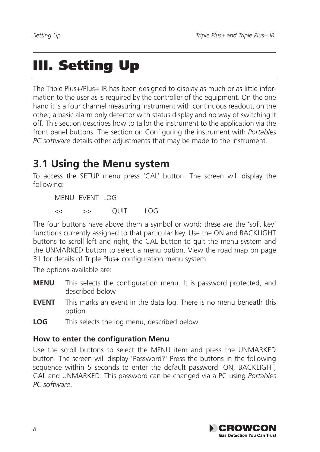## III. Setting Up

The Triple Plus+/Plus+ IR has been designed to display as much or as little information to the user as is required by the controller of the equipment. On the one hand it is a four channel measuring instrument with continuous readout, on the other, a basic alarm only detector with status display and no way of switching it off. This section describes how to tailor the instrument to the application via the front panel buttons. The section on Configuring the instrument with *Portables PC software* details other adjustments that may be made to the instrument*.* 

### **3.1 Using the Menu system**

To access the SETUP menu press 'CAL' button. The screen will display the following:

MENU EVENT LOG

 $\ll$   $\gg$  OUIT LOG

The four buttons have above them a symbol or word: these are the 'soft key' functions currently assigned to that particular key. Use the ON and BACKLIGHT buttons to scroll left and right, the CAL button to quit the menu system and the UNMARKED button to select a menu option. View the road map on page 31 for details of Triple Plus+ configuration menu system.

The options available are:

- **MENU** This selects the configuration menu. It is password protected, and described below
- **EVENT** This marks an event in the data log. There is no menu beneath this option.
- **LOG** This selects the log menu, described below.

#### **How to enter the configuration Menu**

Use the scroll buttons to select the MENU item and press the UNMARKED button. The screen will display 'Password?' Press the buttons in the following sequence within 5 seconds to enter the default password: ON, BACKLIGHT, CAL and UNMARKED. This password can be changed via a PC using *Portables PC software*.

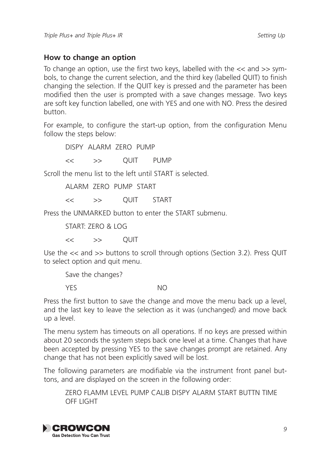#### **How to change an option**

To change an option, use the first two keys, labelled with the << and >> symbols, to change the current selection, and the third key (labelled QUIT) to finish changing the selection. If the QUIT key is pressed and the parameter has been modified then the user is prompted with a save changes message. Two keys are soft key function labelled, one with YES and one with NO. Press the desired button.

For example, to configure the start-up option, from the configuration Menu follow the steps below:

DISPY ALARM ZERO PUMP

<< >> QUIT PUMP

Scroll the menu list to the left until START is selected.

ALARM ZERO PUMP START

<< >> QUIT START

Press the UNMARKED button to enter the START submenu.

START: ZERO & LOG

 $<<$  >>  $\cap$  OUIT

Use the << and >> buttons to scroll through options (Section 3.2). Press QUIT to select option and quit menu.

Save the changes?

YES NO

Press the first button to save the change and move the menu back up a level, and the last key to leave the selection as it was (unchanged) and move back up a level.

The menu system has timeouts on all operations. If no keys are pressed within about 20 seconds the system steps back one level at a time. Changes that have been accepted by pressing YES to the save changes prompt are retained. Any change that has not been explicitly saved will be lost.

The following parameters are modifiable via the instrument front panel buttons, and are displayed on the screen in the following order:

ZERO FLAMM LEVEL PUMP CALIB DISPY ALARM START BUTTN TIME OFF LIGHT

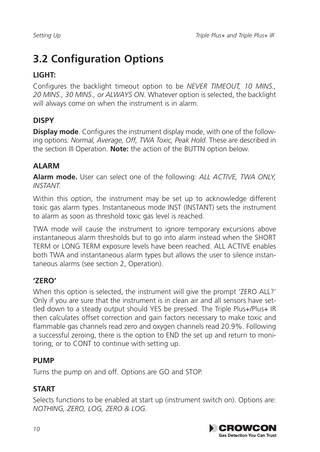### **3.2 Configuration Options**

#### **LIGHT:**

Configures the backlight timeout option to be *NEVER TIMEOUT, 10 MINS., 20 MINS., 30 MINS., or ALWAYS ON*. Whatever option is selected, the backlight will always come on when the instrument is in alarm.

#### **DISPY**

**Display mode**. Configures the instrument display mode, with one of the following options: *Normal, Average, Off, TWA Toxic, Peak Hold*. These are described in the section III Operation. **Note:** the action of the BUTTN option below.

#### **ALARM**

**Alarm mode.** User can select one of the following: *ALL ACTIVE, TWA ONLY, INSTANT.*

Within this option, the instrument may be set up to acknowledge different toxic gas alarm types. Instantaneous mode INST (INSTANT) sets the instrument to alarm as soon as threshold toxic gas level is reached.

TWA mode will cause the instrument to ignore temporary excursions above instantaneous alarm thresholds but to go into alarm instead when the SHORT TERM or LONG TERM exposure levels have been reached. ALL ACTIVE enables both TWA and instantaneous alarm types but allows the user to silence instantaneous alarms (see section 2, Operation).

#### **'ZERO'**

When this option is selected, the instrument will give the prompt 'ZERO ALL?' Only if you are sure that the instrument is in clean air and all sensors have settled down to a steady output should YES be pressed. The Triple Plus+/Plus+ IR then calculates offset correction and gain factors necessary to make toxic and flammable gas channels read zero and oxygen channels read 20.9%. Following a successful zeroing, there is the option to END the set up and return to monitoring, or to CONT to continue with setting up.

#### **PUMP**

Turns the pump on and off. Options are GO and STOP.

#### **START**

Selects functions to be enabled at start up (instrument switch on). Options are: *NOTHING, ZERO, LOG, ZERO & LOG.* 

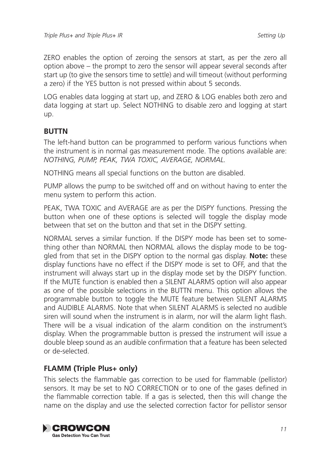ZERO enables the option of zeroing the sensors at start, as per the zero all option above – the prompt to zero the sensor will appear several seconds after start up (to give the sensors time to settle) and will timeout (without performing a zero) if the YES button is not pressed within about 5 seconds.

LOG enables data logging at start up, and ZERO & LOG enables both zero and data logging at start up. Select NOTHING to disable zero and logging at start up.

#### **BUTTN**

The left-hand button can be programmed to perform various functions when the instrument is in normal gas measurement mode. The options available are: *NOTHING, PUMP, PEAK, TWA TOXIC, AVERAGE, NORMAL.*

NOTHING means all special functions on the button are disabled.

PUMP allows the pump to be switched off and on without having to enter the menu system to perform this action.

PEAK, TWA TOXIC and AVERAGE are as per the DISPY functions. Pressing the button when one of these options is selected will toggle the display mode between that set on the button and that set in the DISPY setting.

NORMAL serves a similar function. If the DISPY mode has been set to something other than NORMAL then NORMAL allows the display mode to be toggled from that set in the DISPY option to the normal gas display. **Note:** these display functions have no effect if the DISPY mode is set to OFF, and that the instrument will always start up in the display mode set by the DISPY function. If the MUTE function is enabled then a SILENT ALARMS option will also appear as one of the possible selections in the BUTTN menu. This option allows the programmable button to toggle the MUTE feature between SILENT ALARMS and AUDIBLE ALARMS. Note that when SILENT ALARMS is selected no audible siren will sound when the instrument is in alarm, nor will the alarm light flash. There will be a visual indication of the alarm condition on the instrument's display. When the programmable button is pressed the instrument will issue a double bleep sound as an audible confirmation that a feature has been selected or de-selected.

#### **FLAMM (Triple Plus+ only)**

This selects the flammable gas correction to be used for flammable (pellistor) sensors. It may be set to NO CORRECTION or to one of the gases defined in the flammable correction table. If a gas is selected, then this will change the name on the display and use the selected correction factor for pellistor sensor

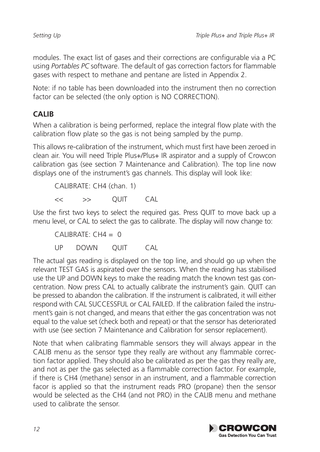modules. The exact list of gases and their corrections are configurable via a PC using *Portables PC* software. The default of gas correction factors for flammable gases with respect to methane and pentane are listed in Appendix 2.

Note: if no table has been downloaded into the instrument then no correction factor can be selected (the only option is NO CORRECTION).

#### **CALIB**

When a calibration is being performed, replace the integral flow plate with the calibration flow plate so the gas is not being sampled by the pump.

This allows re-calibration of the instrument, which must first have been zeroed in clean air. You will need Triple Plus+/Plus+ IR aspirator and a supply of Crowcon calibration gas (see section 7 Maintenance and Calibration). The top line now displays one of the instrument's gas channels. This display will look like:

CALIBRATE: CH4 (chan. 1)  $\leftarrow$   $\rightarrow$  OUIT CAL

Use the first two keys to select the required gas. Press QUIT to move back up a menu level, or CAL to select the gas to calibrate. The display will now change to:

 $CALIBRATE: CH4 = 0$ UP DOWN QUIT CAL

The actual gas reading is displayed on the top line, and should go up when the relevant TEST GAS is aspirated over the sensors. When the reading has stabilised use the UP and DOWN keys to make the reading match the known test gas concentration. Now press CAL to actually calibrate the instrument's gain. QUIT can be pressed to abandon the calibration. If the instrument is calibrated, it will either respond with CAL SUCCESSFUL or CAL FAILED. If the calibration failed the instrument's gain is not changed, and means that either the gas concentration was not equal to the value set (check both and repeat) or that the sensor has deteriorated with use (see section 7 Maintenance and Calibration for sensor replacement).

Note that when calibrating flammable sensors they will always appear in the CALIB menu as the sensor type they really are without any flammable correction factor applied. They should also be calibrated as per the gas they really are, and not as per the gas selected as a flammable correction factor. For example, if there is CH4 (methane) sensor in an instrument, and a flammable correction facor is applied so that the instrument reads PRO (propane) then the sensor would be selected as the CH4 (and not PRO) in the CALIB menu and methane used to calibrate the sensor.

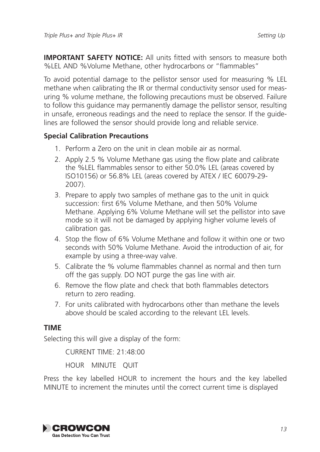**IMPORTANT SAFETY NOTICE:** All units fitted with sensors to measure both %LEL AND %Volume Methane, other hydrocarbons or "flammables"

To avoid potential damage to the pellistor sensor used for measuring % LEL methane when calibrating the IR or thermal conductivity sensor used for measuring % volume methane, the following precautions must be observed. Failure to follow this guidance may permanently damage the pellistor sensor, resulting in unsafe, erroneous readings and the need to replace the sensor. If the guidelines are followed the sensor should provide long and reliable service.

#### **Special Calibration Precautions**

- 1. Perform a Zero on the unit in clean mobile air as normal.
- 2. Apply 2.5 % Volume Methane gas using the flow plate and calibrate the %LEL flammables sensor to either 50.0% LEL (areas covered by ISO10156) or 56.8% LEL (areas covered by ATEX / IEC 60079-29- 2007).
- 3. Prepare to apply two samples of methane gas to the unit in quick succession: first 6% Volume Methane, and then 50% Volume Methane. Applying 6% Volume Methane will set the pellistor into save mode so it will not be damaged by applying higher volume levels of calibration gas.
- 4. Stop the flow of 6% Volume Methane and follow it within one or two seconds with 50% Volume Methane. Avoid the introduction of air, for example by using a three-way valve.
- 5. Calibrate the % volume flammables channel as normal and then turn off the gas supply. DO NOT purge the gas line with air.
- 6. Remove the flow plate and check that both flammables detectors return to zero reading.
- 7. For units calibrated with hydrocarbons other than methane the levels above should be scaled according to the relevant LEL levels.

#### **TIME**

Selecting this will give a display of the form:

CURRENT TIME: 21:48:00 HOUR MINUTE QUIT

Press the key labelled HOUR to increment the hours and the key labelled MINUTE to increment the minutes until the correct current time is displayed

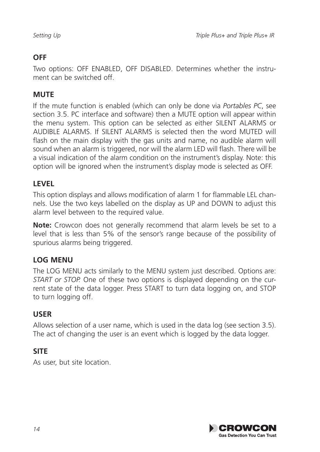#### **OFF**

Two options: OFF ENABLED, OFF DISABLED. Determines whether the instrument can be switched off.

#### **MUTE**

If the mute function is enabled (which can only be done via *Portables PC*, see section 3.5. PC interface and software) then a MUTE option will appear within the menu system. This option can be selected as either SILENT ALARMS or AUDIBLE ALARMS. If SILENT ALARMS is selected then the word MUTED will flash on the main display with the gas units and name, no audible alarm will sound when an alarm is triggered, nor will the alarm LED will flash. There will be a visual indication of the alarm condition on the instrument's display. Note: this option will be ignored when the instrument's display mode is selected as OFF.

#### **LEVEL**

This option displays and allows modification of alarm 1 for flammable LEL channels. Use the two keys labelled on the display as UP and DOWN to adjust this alarm level between to the required value.

**Note:** Crowcon does not generally recommend that alarm levels be set to a level that is less than 5% of the sensor's range because of the possibility of spurious alarms being triggered.

#### **LOG MENU**

The LOG MENU acts similarly to the MENU system just described. Options are: *START or STOP.* One of these two options is displayed depending on the current state of the data logger. Press START to turn data logging on, and STOP to turn logging off.

#### **USER**

Allows selection of a user name, which is used in the data log (see section 3.5). The act of changing the user is an event which is logged by the data logger.

#### **SITE**

As user, but site location.

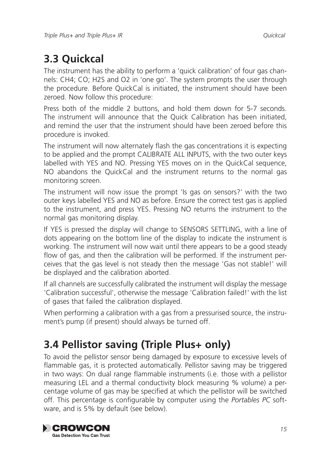### **3.3 Quickcal**

The instrument has the ability to perform a 'quick calibration' of four gas channels: CH4; CO; H2S and O2 in 'one go'. The system prompts the user through the procedure. Before QuickCal is initiated, the instrument should have been zeroed. Now follow this procedure:

Press both of the middle 2 buttons, and hold them down for 5-7 seconds. The instrument will announce that the Quick Calibration has been initiated, and remind the user that the instrument should have been zeroed before this procedure is invoked.

The instrument will now alternately flash the gas concentrations it is expecting to be applied and the prompt CALIBRATE ALL INPUTS, with the two outer keys labelled with YES and NO. Pressing YES moves on in the QuickCal sequence, NO abandons the QuickCal and the instrument returns to the normal gas monitoring screen.

The instrument will now issue the prompt 'Is gas on sensors?' with the two outer keys labelled YES and NO as before. Ensure the correct test gas is applied to the instrument, and press YES. Pressing NO returns the instrument to the normal gas monitoring display.

If YES is pressed the display will change to SENSORS SETTLING, with a line of dots appearing on the bottom line of the display to indicate the instrument is working. The instrument will now wait until there appears to be a good steady flow of gas, and then the calibration will be performed. If the instrument perceives that the gas level is not steady then the message 'Gas not stable!' will be displayed and the calibration aborted.

If all channels are successfully calibrated the instrument will display the message 'Calibration successful', otherwise the message 'Calibration failed!' with the list of gases that failed the calibration displayed.

When performing a calibration with a gas from a pressurised source, the instrument's pump (if present) should always be turned off.

### **3.4 Pellistor saving (Triple Plus+ only)**

To avoid the pellistor sensor being damaged by exposure to excessive levels of flammable gas, it is protected automatically. Pellistor saving may be triggered in two ways: On dual range flammable instruments (i.e. those with a pellistor measuring LEL and a thermal conductivity block measuring % volume) a percentage volume of gas may be specified at which the pellistor will be switched off. This percentage is configurable by computer using the *Portables PC* software, and is 5% by default (see below).

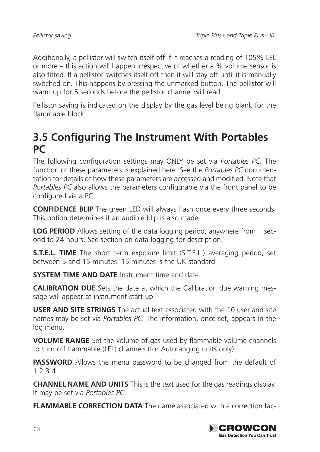Additionally, a pellistor will switch itself off if it reaches a reading of 105% LEL or more – this action will happen irrespective of whether a % volume sensor is also fitted. If a pellistor switches itself off then it will stay off until it is manually switched on. This happens by pressing the unmarked button. The pellistor will warm up for 5 seconds before the pellistor channel will read.

Pellistor saving is indicated on the display by the gas level being blank for the flammable block.

### **3.5 Configuring The Instrument With Portables PC**

The following configuration settings may ONLY be set via *Portables PC*. The function of these parameters is explained here. See the *Portables PC* documentation for details of how these parameters are accessed and modified. Note that *Portables PC* also allows the parameters configurable via the front panel to be configured via a PC.

**CONFIDENCE BLIP** The green LED will always flash once every three seconds. This option determines if an audible blip is also made.

**LOG PERIOD** Allows setting of the data logging period, anywhere from 1 second to 24 hours. See section on data logging for description.

**S.T.E.L. TIME** The short term exposure limit (S.T.E.L.) averaging period, set between 5 and 15 minutes. 15 minutes is the UK standard.

**SYSTEM TIME AND DATE** Instrument time and date.

**CALIBRATION DUE** Sets the date at which the Calibration due warning message will appear at instrument start up.

**USER AND SITE STRINGS** The actual text associated with the 10 user and site names may be set via *Portables PC*. The information, once set, appears in the log menu.

**VOLUME RANGE** Set the volume of gas used by flammable volume channels to turn off flammable (LEL) channels (for Autoranging units only).

**PASSWORD** Allows the menu password to be changed from the default of 1 2 3 4.

**CHANNEL NAME AND UNITS** This is the text used for the gas readings display. It may be set via *Portables PC*.

**FLAMMABLE CORRECTION DATA** The name associated with a correction fac-

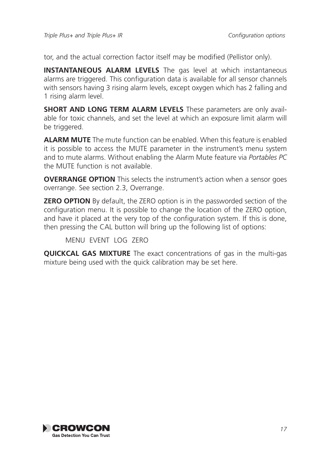tor, and the actual correction factor itself may be modified (Pellistor only).

**INSTANTANEOUS ALARM LEVELS** The gas level at which instantaneous alarms are triggered. This configuration data is available for all sensor channels with sensors having 3 rising alarm levels, except oxygen which has 2 falling and 1 rising alarm level.

**SHORT AND LONG TERM ALARM LEVELS** These parameters are only available for toxic channels, and set the level at which an exposure limit alarm will be triggered.

**ALARM MUTE** The mute function can be enabled. When this feature is enabled it is possible to access the MUTE parameter in the instrument's menu system and to mute alarms. Without enabling the Alarm Mute feature via *Portables PC* the MUTE function is not available.

**OVERRANGE OPTION** This selects the instrument's action when a sensor goes overrange. See section 2.3, Overrange.

**ZERO OPTION** By default, the ZERO option is in the passworded section of the configuration menu. It is possible to change the location of the ZERO option, and have it placed at the very top of the configuration system. If this is done, then pressing the CAL button will bring up the following list of options:

MENU EVENT LOG ZERO

**QUICKCAL GAS MIXTURE** The exact concentrations of gas in the multi-gas mixture being used with the quick calibration may be set here.

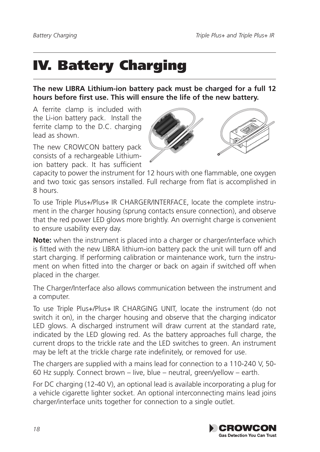## IV. Battery Charging

**The new LIBRA Lithium-ion battery pack must be charged for a full 12 hours before first use. This will ensure the life of the new battery.**

A ferrite clamp is included with the Li-ion battery pack. Install the ferrite clamp to the D.C. charging lead as shown.

The new CROWCON battery pack consists of a rechargeable Lithiumion battery pack. It has sufficient



capacity to power the instrument for 12 hours with one flammable, one oxygen and two toxic gas sensors installed. Full recharge from flat is accomplished in 8 hours.

To use Triple Plus+/Plus+ IR CHARGER/INTERFACE, locate the complete instrument in the charger housing (sprung contacts ensure connection), and observe that the red power LED glows more brightly. An overnight charge is convenient to ensure usability every day.

**Note:** when the instrument is placed into a charger or charger/interface which is fitted with the new LIBRA lithium-ion battery pack the unit will turn off and start charging. If performing calibration or maintenance work, turn the instrument on when fitted into the charger or back on again if switched off when placed in the charger.

The Charger/Interface also allows communication between the instrument and a computer.

To use Triple Plus+/Plus+ IR CHARGING UNIT, locate the instrument (do not switch it on), in the charger housing and observe that the charging indicator LED glows. A discharged instrument will draw current at the standard rate, indicated by the LED glowing red. As the battery approaches full charge, the current drops to the trickle rate and the LED switches to green. An instrument may be left at the trickle charge rate indefinitely, or removed for use.

The chargers are supplied with a mains lead for connection to a 110-240 V, 50- 60 Hz supply. Connect brown – Iive, blue – neutral, green/yellow – earth.

For DC charging (12-40 V), an optional lead is available incorporating a plug for a vehicle cigarette lighter socket. An optional interconnecting mains lead joins charger/interface units together for connection to a single outlet.

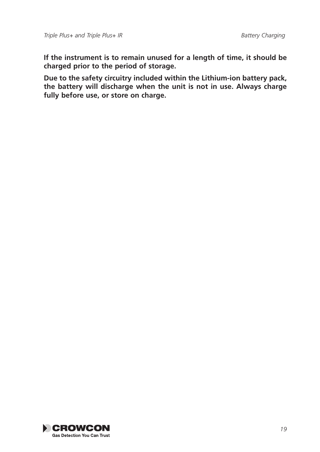**If the instrument is to remain unused for a length of time, it should be charged prior to the period of storage.**

**Due to the safety circuitry included within the Lithium-ion battery pack, the battery will discharge when the unit is not in use. Always charge fully before use, or store on charge.**

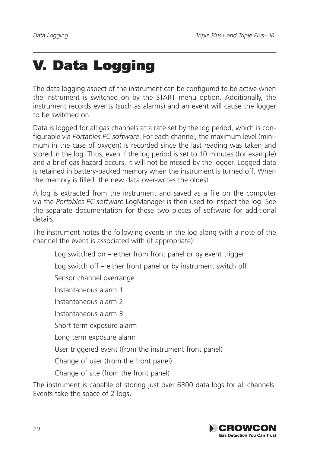## V. Data Logging

The data logging aspect of the instrument can be configured to be active when the instrument is switched on by the START menu option. Additionally, the instrument records events (such as alarms) and an event will cause the logger to be switched on.

Data is logged for all gas channels at a rate set by the log period, which is configurable via *Portables PC software*. For each channel, the maximum level (minimum in the case of oxygen) is recorded since the last reading was taken and stored in the log. Thus, even if the log period is set to 10 minutes (for example) and a brief gas hazard occurs, it will not be missed by the logger. Logged data is retained in battery-backed memory when the instrument is turned off. When the memory is filled, the new data over-writes the oldest.

A log is extracted from the instrument and saved as a file on the computer via the *Portables PC software* LogManager is then used to inspect the log. See the separate documentation for these two pieces of software for additional details.

The instrument notes the following events in the log along with a note of the channel the event is associated with (if appropriate):

Log switched on – either from front panel or by event trigger

Log switch off – either front panel or by instrument switch off

Sensor channel overrange

Instantaneous alarm 1

Instantaneous alarm 2

Instantaneous alarm 3

Short term exposure alarm

Long term exposure alarm

User triggered event (from the instrument front panel)

Change of user (from the front panel)

Change of site (from the front panel)

The instrument is capable of storing just over 6300 data logs for all channels. Events take the space of 2 logs.

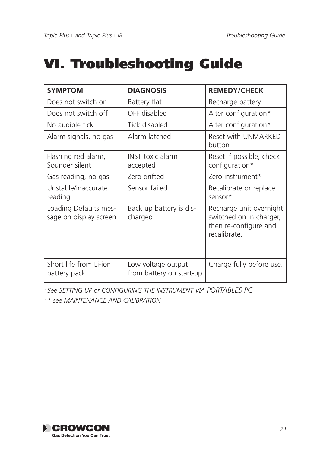## VI. Troubleshooting Guide

| <b>SYMPTOM</b>                                  | <b>DIAGNOSIS</b>                               | <b>REMEDY/CHECK</b>                                                                         |
|-------------------------------------------------|------------------------------------------------|---------------------------------------------------------------------------------------------|
| Does not switch on                              | Battery flat                                   | Recharge battery                                                                            |
| Does not switch off                             | OFF disabled                                   | Alter configuration*                                                                        |
| No audible tick                                 | Tick disabled                                  | Alter configuration*                                                                        |
| Alarm signals, no gas                           | Alarm latched                                  | Reset with UNMARKED<br>button                                                               |
| Flashing red alarm,<br>Sounder silent           | <b>INST</b> toxic alarm<br>accepted            | Reset if possible, check<br>configuration*                                                  |
| Gas reading, no gas                             | Zero drifted                                   | Zero instrument*                                                                            |
| Unstable/inaccurate<br>reading                  | Sensor failed                                  | Recalibrate or replace<br>sensor*                                                           |
| Loading Defaults mes-<br>sage on display screen | Back up battery is dis-<br>charged             | Recharge unit overnight<br>switched on in charger,<br>then re-configure and<br>recalibrate. |
| Short life from Li-jon<br>battery pack          | Low voltage output<br>from battery on start-up | Charge fully before use.                                                                    |

*\*See SETTING UP or CONFIGURING THE INSTRUMENT VIA PORTABLES PC*

*\*\* see MAINTENANCE AND CALIBRATION*

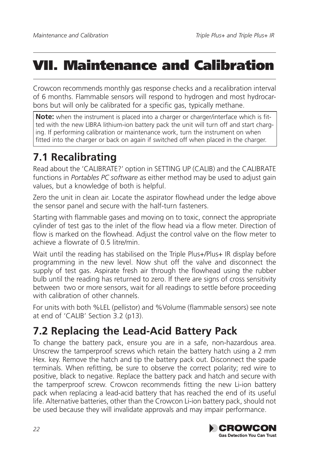## VII. Maintenance and Calibration

Crowcon recommends monthly gas response checks and a recalibration interval of 6 months. Flammable sensors will respond to hydrogen and most hydrocarbons but will only be calibrated for a specific gas, typically methane.

**Note:** when the instrument is placed into a charger or charger/interface which is fitted with the new LIBRA lithium-ion battery pack the unit will turn off and start charging. If performing calibration or maintenance work, turn the instrument on when fitted into the charger or back on again if switched off when placed in the charger.

## **7.1 Recalibrating**

Read about the 'CALIBRATE?' option in SETTING UP (CALIB) and the CALIBRATE functions in *Portables PC software* as either method may be used to adjust gain values, but a knowledge of both is helpful.

Zero the unit in clean air. Locate the aspirator flowhead under the ledge above the sensor panel and secure with the half-turn fasteners.

Starting with flammable gases and moving on to toxic, connect the appropriate cylinder of test gas to the inlet of the flow head via a flow meter. Direction of flow is marked on the flowhead. Adjust the control valve on the flow meter to achieve a flowrate of 0.5 litre/min.

Wait until the reading has stabilised on the Triple Plus+/Plus+ IR display before programming in the new level. Now shut off the valve and disconnect the supply of test gas. Aspirate fresh air through the flowhead using the rubber bulb until the reading has returned to zero. If there are signs of cross sensitivity between two or more sensors, wait for all readings to settle before proceeding with calibration of other channels.

For units with both %LEL (pellistor) and %Volume (flammable sensors) see note at end of 'CALIB' Section 3.2 (p13).

### **7.2 Replacing the Lead-Acid Battery Pack**

To change the battery pack, ensure you are in a safe, non-hazardous area. Unscrew the tamperproof screws which retain the battery hatch using a 2 mm Hex. key. Remove the hatch and tip the battery pack out. Disconnect the spade terminals. When refitting, be sure to observe the correct polarity; red wire to positive, black to negative. Replace the battery pack and hatch and secure with the tamperproof screw. Crowcon recommends fitting the new Li-ion battery pack when replacing a lead-acid battery that has reached the end of its useful life. Alternative batteries, other than the Crowcon Li-ion battery pack, should not be used because they will invalidate approvals and may impair performance.

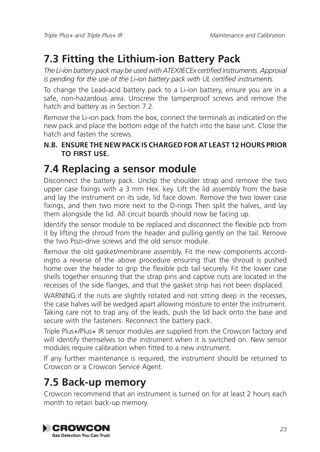### **7.3 Fitting the Lithium-ion Battery Pack**

*The Li-ion battery pack may be used with ATEX/IECEx certified instruments. Approval is pending for the use of the Li-ion battery pack with UL certified instruments.*

To change the Lead-acid battery pack to a Li-ion battery, ensure you are in a safe, non-hazardous area. Unscrew the tamperproof screws and remove the hatch and battery as in Section 7.2.

Remove the Li-ion pack from the box, connect the terminals as indicated on the new pack and place the bottom edge of the hatch into the base unit. Close the hatch and fasten the screws.

#### **N.B. Ensure the new pack is charged for at least 12 hours PRIOR TO FIRST USE.**

### **7.4 Replacing a sensor module**

Disconnect the battery pack. Unclip the shoulder strap and remove the two upper case fixings with a 3 mm Hex. key. Lift the lid assembly from the base and lay the instrument on its side, lid face down. Remove the two lower case fixings, and then two more next to the D-rings Then split the halves, and lay them alongside the lid. All circuit boards should now be facing up.

Identify the sensor module to be replaced and disconnect the flexible pcb from it by lifting the shroud from the header and pulling gently on the tail. Remove the two Pozi-drive screws and the old sensor module.

Remove the old gasket/membrane assembly. Fit the new components accordingto a reverse of the above procedure ensuring that the shroud is pushed home over the header to grip the flexible pcb tail securely. Fit the lower case shells together ensuring that the strap pins and captive nuts are located in the recesses of the side flanges, and that the gasket strip has not been displaced.

WARNING:if the nuts are slightly rotated and not sitting deep in the recesses, the case halves will be wedged apart allowing moisture to enter the instrument. Taking care not to trap any of the leads, push the lid back onto the base and secure with the fasteners. Reconnect the battery pack.

Triple Plus+/Plus+ IR sensor modules are supplied from the Crowcon factory and will identify themselves to the instrument when it is switched on. New sensor modules require calibration when fitted to a new instrument.

If any further maintenance is required, the instrument should be returned to Crowcon or a Crowcon Service Agent.

### **7.5 Back-up memory**

Crowcon recommend that an instrument is turned on for at least 2 hours each month to retain back-up memory.

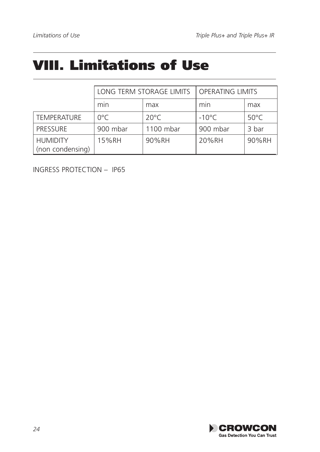## VIII. Limitations of Use

|                                     | LONG TERM STORAGE LIMITS |                | <b>OPERATING LIMITS</b> |                |
|-------------------------------------|--------------------------|----------------|-------------------------|----------------|
|                                     | min                      | max            | min                     | max            |
| <b>TEMPERATURE</b>                  | 0°C                      | $20^{\circ}$ C | $-10^{\circ}$ C         | $50^{\circ}$ C |
| <b>PRESSURE</b>                     | 900 mbar                 | 1100 mbar      | 900 mbar                | 3 bar          |
| <b>HUMIDITY</b><br>(non condensing) | 15%RH                    | 90%RH          | 20%RH                   | 90%RH          |

INGRESS PROTECTION – IP65

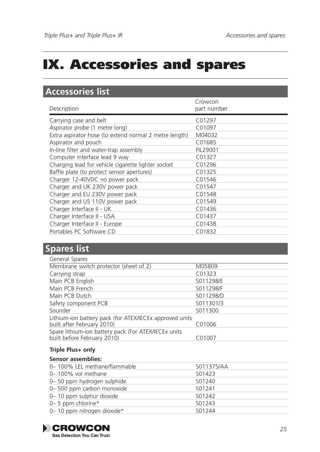## IX. Accessories and spares

### **Accessories list**

| Description                                            | Crowcon<br>part number |
|--------------------------------------------------------|------------------------|
| Carrying case and belt                                 | C <sub>01297</sub>     |
| Aspirator probe (1 metre long)                         | C01097                 |
| Extra aspirator hose (to extend normal 2 metre length) | M04032                 |
| Aspirator and pouch                                    | C01685                 |
| In-line filter and water-trap assembly                 | FIL29001               |
| Computer interface lead 9 way                          | C01327                 |
| Charging lead for vehicle cigarette lighter socket     | C01296                 |
| Baffle plate (to protect sensor apertures)             | C01325                 |
| Charger 12-40VDC no power pack                         | C01546                 |
| Charger and UK 230V power pack                         | C01547                 |
| Charger and EU 230V power pack                         | C01548                 |
| Charger and US 110V power pack                         | C <sub>01549</sub>     |
| Charger Interface II - UK                              | C01436                 |
| Charger Interface II - USA                             | C01437                 |
| Charger Interface II - Europe                          | C01438                 |
| Portables PC Software CD                               | C01832                 |

#### **Spares list**

| General Spares                                                                        |           |
|---------------------------------------------------------------------------------------|-----------|
| Membrane switch protector (sheet of 2)                                                | M05809    |
| Carrying strap                                                                        | C01323    |
| Main PCB English                                                                      | S011298/E |
| Main PCB French                                                                       | S011298/F |
| Main PCB Dutch                                                                        | S011298/D |
| Safety component PCB                                                                  | S011301/3 |
| Sounder                                                                               | S011300   |
| Lithium-ion battery pack (for ATEX/IECEx approved units<br>built after February 2010) | C01006    |
| Spare lithium-ion battery pack (For ATEX/IECEx units<br>built before February 2010)   | C01007    |

#### **Triple Plus+ only**

#### **Sensor assemblies:**

| 0-100% LEL methane/flammable | S011375/AA |
|------------------------------|------------|
| 0-100% vol methane           | S01423     |
| 0-50 ppm hydrogen sulphide   | S01240     |
| 0-500 ppm carbon monoxide    | S01241     |
| 0-10 ppm sulphur dioxide     | S01242     |
| 0– 5 ppm chlorine*           | S01243     |
| 0-10 ppm nitrogen dioxide*   | S01244     |

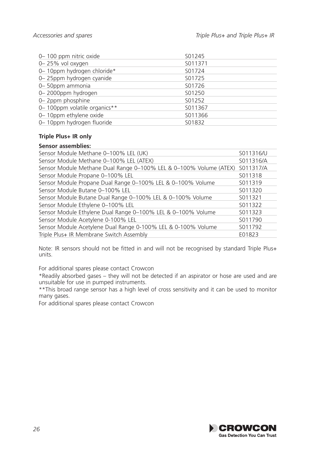| 0-100 ppm nitric oxide       | S01245  |
|------------------------------|---------|
| 0-25% vol oxygen             | S011371 |
| 0-10ppm hydrogen chloride*   | S01724  |
| 0-25ppm hydrogen cyanide     | S01725  |
| 0-50ppm ammonia              | S01726  |
| 0-2000ppm hydrogen           | S01250  |
| 0-2ppm phosphine             | S01252  |
| 0-100ppm volatile organics** | S011367 |
| 0-10ppm ethylene oxide       | S011366 |
| 0-10ppm hydrogen fluoride    | S01832  |

#### **Triple Plus+ IR only**

#### **Sensor assemblies:**

| S011316/U                                                                       |
|---------------------------------------------------------------------------------|
| S011316/A                                                                       |
| Sensor Module Methane Dual Range 0-100% LEL & 0-100% Volume (ATEX)<br>S011317/A |
| S011318                                                                         |
| S011319                                                                         |
| S011320                                                                         |
| S011321                                                                         |
| S011322                                                                         |
| S011323                                                                         |
| S011790                                                                         |
| S011792                                                                         |
| E01823                                                                          |
|                                                                                 |

Note: IR sensors should not be fitted in and will not be recognised by standard Triple Plus+ units.

For additional spares please contact Crowcon

\*Readily absorbed gases – they will not be detected if an aspirator or hose are used and are unsuitable for use in pumped instruments.

\*\*This broad range sensor has a high level of cross sensitivity and it can be used to monitor many gases.

For additional spares please contact Crowcon

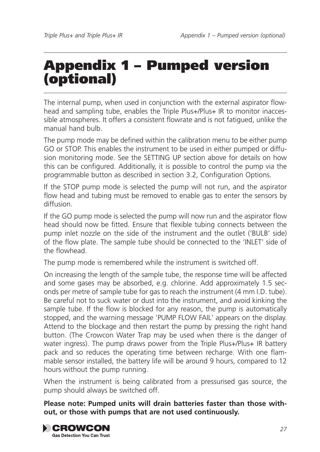## Appendix 1 – Pumped version (optional)

The internal pump, when used in conjunction with the external aspirator flowhead and sampling tube, enables the Triple Plus+/Plus+ IR to monitor inaccessible atmospheres. It offers a consistent flowrate and is not fatigued, unlike the manual hand bulb.

The pump mode may be defined within the calibration menu to be either pump GO or STOP. This enables the instrument to be used in either pumped or diffusion monitoring mode. See the SETTING UP section above for details on how this can be configured. Additionally, it is possible to control the pump via the programmable button as described in section 3.2, Configuration Options.

If the STOP pump mode is selected the pump will not run, and the aspirator flow head and tubing must be removed to enable gas to enter the sensors by diffusion.

If the GO pump mode is selected the pump will now run and the aspirator flow head should now be fitted. Ensure that flexible tubing connects between the pump inlet nozzle on the side of the instrument and the outlet ('BULB' side) of the flow plate. The sample tube should be connected to the 'INLET' side of the flowhead.

The pump mode is remembered while the instrument is switched off.

On increasing the length of the sample tube, the response time will be affected and some gases may be absorbed, e.g. chlorine. Add approximately 1.5 seconds per metre of sample tube for gas to reach the instrument (4 mm I.D. tube). Be careful not to suck water or dust into the instrument, and avoid kinking the sample tube. If the flow is blocked for any reason, the pump is automatically stopped, and the warning message 'PUMP FLOW FAIL' appears on the display. Attend to the blockage and then restart the pump by pressing the right hand button. (The Crowcon Water Trap may be used when there is the danger of water ingress). The pump draws power from the Triple Plus+/Plus+ IR battery pack and so reduces the operating time between recharge. With one flammable sensor installed, the battery life will be around 9 hours, compared to 12 hours without the pump running.

When the instrument is being calibrated from a pressurised gas source, the pump should always be switched off.

**Please note: Pumped units will drain batteries faster than those without, or those with pumps that are not used continuously.**

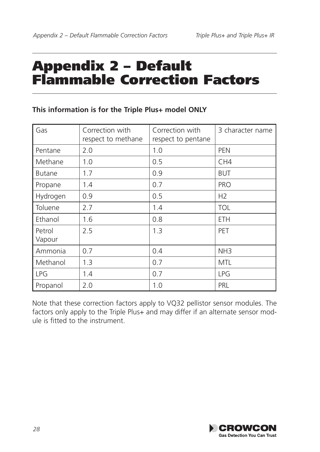## Appendix 2 – Default Flammable Correction Factors

| Gas              | Correction with<br>respect to methane | Correction with<br>respect to pentane | 3 character name |
|------------------|---------------------------------------|---------------------------------------|------------------|
| Pentane          | 2.0                                   | 1.0                                   | <b>PEN</b>       |
| Methane          | 1.0                                   | 0.5                                   | CH <sub>4</sub>  |
| <b>Butane</b>    | 1.7                                   | 0.9                                   | <b>BUT</b>       |
| Propane          | 1.4                                   | 0.7                                   | <b>PRO</b>       |
| Hydrogen         | 0.9                                   | 0.5                                   | H <sub>2</sub>   |
| Toluene          | 2.7                                   | 1.4                                   | <b>TOL</b>       |
| Ethanol          | 1.6                                   | 0.8                                   | <b>ETH</b>       |
| Petrol<br>Vapour | 2.5                                   | 1.3                                   | PET              |
| Ammonia          | 0.7                                   | 0.4                                   | NH <sub>3</sub>  |
| Methanol         | 1.3                                   | 0.7                                   | <b>MTL</b>       |
| LPG              | 1.4                                   | 0.7                                   | <b>LPG</b>       |
| Propanol         | 2.0                                   | 1.0                                   | PRL              |

#### **This information is for the Triple Plus+ model ONLY**

Note that these correction factors apply to VQ32 pellistor sensor modules. The factors only apply to the Triple Plus+ and may differ if an alternate sensor module is fitted to the instrument.

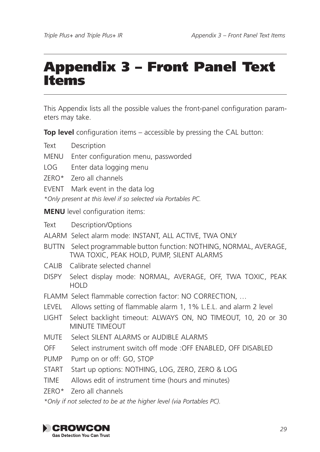## Appendix 3 – Front Panel Text Items

This Appendix lists all the possible values the front-panel configuration parameters may take.

**Top level** configuration items – accessible by pressing the CAL button:

Text Description

- MENU Enter configuration menu, passworded
- LOG Enter data logging menu
- ZERO\* Zero all channels
- EVENT Mark event in the data log

*\*Only present at this level if so selected via Portables PC.* 

**MENU** level configuration items:

Text Description/Options

- ALARM Select alarm mode: INSTANT, ALL ACTIVE, TWA ONLY
- BUTTN Select programmable button function: NOTHING, NORMAL, AVERAGE, TWA TOXIC, PEAK HOLD, PUMP, SILENT ALARMS
- CALIB Calibrate selected channel
- DISPY Select display mode: NORMAL, AVERAGE, OFF, TWA TOXIC, PEAK HOLD
- FLAMM Select flammable correction factor: NO CORRECTION, …
- LEVEL Allows setting of flammable alarm 1, 1% L.E.L. and alarm 2 level
- LIGHT Select backlight timeout: ALWAYS ON, NO TIMEOUT, 10, 20 or 30 MINUTE TIMEOUT
- MUTE Select SILENT ALARMS or AUDIBLE ALARMS
- OFF Select instrument switch off mode :OFF ENABLED, OFF DISABLED
- PUMP Pump on or off: GO, STOP
- START Start up options: NOTHING, LOG, ZERO, ZERO & LOG
- TIME Allows edit of instrument time (hours and minutes)
- ZERO\* Zero all channels

*\*Only if not selected to be at the higher level (via Portables PC).* 

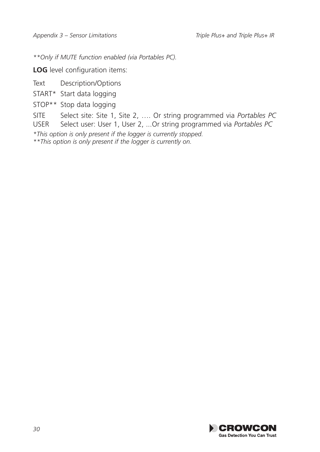*\*\*Only if MUTE function enabled (via Portables PC).* 

**LOG** level configuration items:

Text Description/Options

START\* Start data logging

STOP\*\* Stop data logging

SITE Select site: Site 1, Site 2, …. Or string programmed via *Portables PC*

Select user: User 1, User 2, ... Or string programmed via *Portables PC* 

*\*This option is only present if the logger is currently stopped.* 

*\*\*This option is only present if the logger is currently on.* 

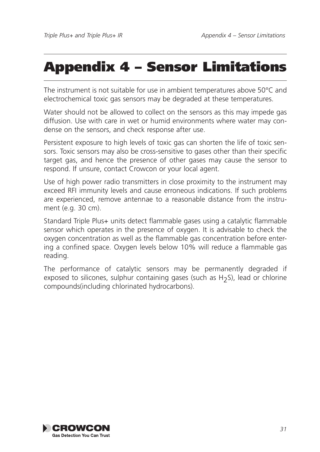## Appendix 4 – Sensor Limitations

The instrument is not suitable for use in ambient temperatures above 50°C and electrochemical toxic gas sensors may be degraded at these temperatures.

Water should not be allowed to collect on the sensors as this may impede gas diffusion. Use with care in wet or humid environments where water may condense on the sensors, and check response after use.

Persistent exposure to high levels of toxic gas can shorten the life of toxic sensors. Toxic sensors may also be cross-sensitive to gases other than their specific target gas, and hence the presence of other gases may cause the sensor to respond. If unsure, contact Crowcon or your local agent.

Use of high power radio transmitters in close proximity to the instrument may exceed RFI immunity levels and cause erroneous indications. If such problems are experienced, remove antennae to a reasonable distance from the instrument (e.g. 30 cm).

Standard Triple Plus+ units detect flammable gases using a catalytic flammable sensor which operates in the presence of oxygen. It is advisable to check the oxygen concentration as well as the flammable gas concentration before entering a confined space. Oxygen levels below 10% will reduce a flammable gas reading.

The performance of catalytic sensors may be permanently degraded if exposed to silicones, sulphur containing gases (such as H<sub>2</sub>S), lead or chlorine compounds(including chlorinated hydrocarbons).

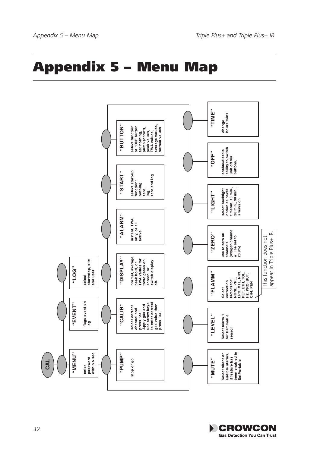## **Appendix 5 - Menu Map**